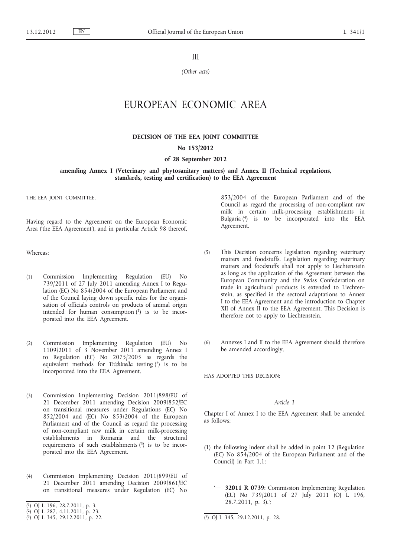III

*(Other acts)*

# EUROPEAN ECONOMIC AREA

# **DECISION OF THE EEA JOINT COMMITTEE**

**No 153/2012**

#### **of 28 September 2012**

## **amending Annex I (Veterinary and phytosanitary matters) and Annex II (Technical regulations, standards, testing and certification) to the EEA Agreement**

THE EEA JOINT COMMITTEE,

Having regard to the Agreement on the European Economic Area ('the EEA Agreement'), and in particular Article 98 thereof,

Whereas:

- (1) Commission Implementing Regulation (EU) No 739/2011 of 27 July 2011 amending Annex I to Regulation (EC) No 854/2004 of the European Parliament and of the Council laying down specific rules for the organisation of officials controls on products of animal origin intended for human consumption  $(1)$  is to be incorporated into the EEA Agreement.
- (2) Commission Implementing Regulation (EU) No 1109/2011 of 3 November 2011 amending Annex I to Regulation (EC) No 2075/2005 as regards the equivalent methods for *Trichinella* testing (2) is to be incorporated into the EEA Agreement.
- (3) Commission Implementing Decision 2011/898/EU of 21 December 2011 amending Decision 2009/852/EC on transitional measures under Regulations (EC) No 852/2004 and (EC) No 853/2004 of the European Parliament and of the Council as regard the processing of non-compliant raw milk in certain milk-processing establishments in Romania and the structural requirements of such establishments  $(3)$  is to be incorporated into the EEA Agreement.
- (4) Commission Implementing Decision 2011/899/EU of 21 December 2011 amending Decision 2009/861/EC on transitional measures under Regulation (EC) No
- ( 1) OJ L 196, 28.7.2011, p. 3.
- ( 2) OJ L 287, 4.11.2011, p. 23.
- ( 3) OJ L 345, 29.12.2011, p. 22. (4) OJ L 345, 29.12.2011, p. 28.

853/2004 of the European Parliament and of the Council as regard the processing of non-compliant raw milk in certain milk-processing establishments in Bulgaria (4) is to be incorporated into the EEA Agreement.

- (5) This Decision concerns legislation regarding veterinary matters and foodstuffs. Legislation regarding veterinary matters and foodstuffs shall not apply to Liechtenstein as long as the application of the Agreement between the European Community and the Swiss Confederation on trade in agricultural products is extended to Liechtenstein, as specified in the sectoral adaptations to Annex I to the EEA Agreement and the introduction to Chapter XII of Annex II to the EEA Agreement. This Decision is therefore not to apply to Liechtenstein.
- (6) Annexes I and II to the EEA Agreement should therefore be amended accordingly,

HAS ADOPTED THIS DECISION:

## *Article 1*

Chapter I of Annex I to the EEA Agreement shall be amended as follows:

- (1) the following indent shall be added in point 12 (Regulation (EC) No 854/2004 of the European Parliament and of the Council) in Part 1.1:
	- '— **32011 R 0739**: Commission Implementing Regulation (EU) No 739/2011 of 27 July 2011 (OJ L 196, 28.7.2011, p. 3).';